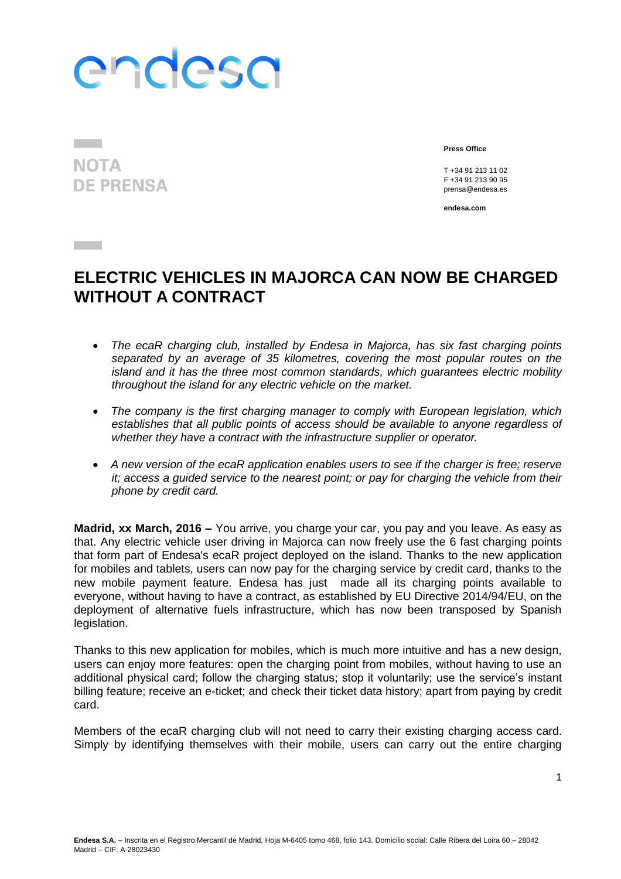## endesa

**NOTA DE PRENSA** 

**Contract** 

**Press Office**

T +34 91 213 11 02 F +34 91 213 90 95 prensa@endesa.es

**endesa.com**

## **ELECTRIC VEHICLES IN MAJORCA CAN NOW BE CHARGED WITHOUT A CONTRACT**

- *The ecaR charging club, installed by Endesa in Majorca, has six fast charging points separated by an average of 35 kilometres, covering the most popular routes on the island and it has the three most common standards, which guarantees electric mobility throughout the island for any electric vehicle on the market.*
- *The company is the first charging manager to comply with European legislation, which establishes that all public points of access should be available to anyone regardless of whether they have a contract with the infrastructure supplier or operator.*
- *A new version of the ecaR application enables users to see if the charger is free; reserve it; access a guided service to the nearest point; or pay for charging the vehicle from their phone by credit card.*

**Madrid, xx March, 2016 –** You arrive, you charge your car, you pay and you leave. As easy as that. Any electric vehicle user driving in Majorca can now freely use the 6 fast charging points that form part of Endesa's ecaR project deployed on the island. Thanks to the new application for mobiles and tablets, users can now pay for the charging service by credit card, thanks to the new mobile payment feature. Endesa has just made all its charging points available to everyone, without having to have a contract, as established by EU Directive 2014/94/EU, on the deployment of alternative fuels infrastructure, which has now been transposed by Spanish legislation.

Thanks to this new application for mobiles, which is much more intuitive and has a new design, users can enjoy more features: open the charging point from mobiles, without having to use an additional physical card; follow the charging status; stop it voluntarily; use the service's instant billing feature; receive an e-ticket; and check their ticket data history; apart from paying by credit card.

Members of the ecaR charging club will not need to carry their existing charging access card. Simply by identifying themselves with their mobile, users can carry out the entire charging